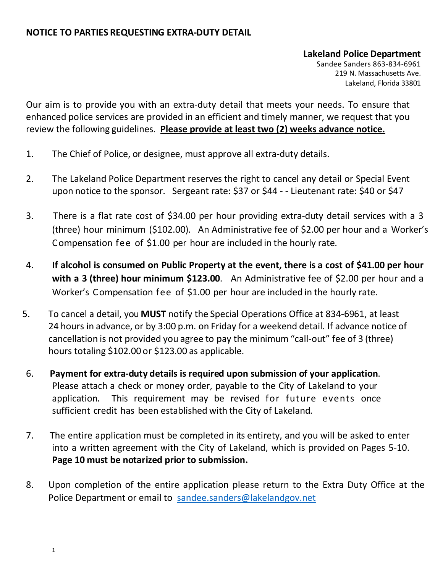# **NOTICE TO PARTIES REQUESTING EXTRA-DUTY DETAIL**

# **Lakeland Police Department**

Sandee Sanders 863-834-6961 219 N. Massachusetts Ave. Lakeland, Florida 33801

Our aim is to provide you with an extra-duty detail that meets your needs. To ensure that enhanced police services are provided in an efficient and timely manner, we request that you review the following guidelines. **Please provide at least two (2) weeks advance notice.**

- 1. The Chief of Police, or designee, must approve all extra-duty details.
- 2. The Lakeland Police Department reserves the right to cancel any detail or Special Event upon notice to the sponsor. Sergeant rate: \$37 or \$44 - - Lieutenant rate: \$40 or \$47
- 3. There is a flat rate cost of \$34.00 per hour providing extra-duty detail services with a 3 (three) hour minimum (\$102.00). An Administrative fee of \$2.00 per hour and a Worker's Compensation fee of \$1.00 per hour are included in the hourly rate.
- 4. **If alcohol is consumed on Public Property at the event, there is a cost of \$41.00 per hour with a 3 (three) hour minimum \$123.00**. An Administrative fee of \$2.00 per hour and a Worker's Compensation fee of \$1.00 per hour are included in the hourly rate.
- 5. To cancel a detail, you **MUST** notify the Special Operations Office at 834-6961, at least 24 hours in advance, or by 3:00 p.m. on Friday for a weekend detail. If advance notice of cancellation is not provided you agree to pay the minimum "call-out" fee of 3 (three) hours totaling \$102.00 or \$123.00 as applicable.
- 6. **Payment for extra-duty details is required upon submission of your application**. Please attach a check or money order, payable to the City of Lakeland to your application. This requirement may be revised for future events once sufficient credit has been established with the City of Lakeland.
- 7. The entire application must be completed in its entirety, and you will be asked to enter into a written agreement with the City of Lakeland, which is provided on Pages 5-10. **Page 10 must be notarized prior to submission.**
- 8. Upon completion of the entire application please return to the Extra Duty Office at the Police Department or email to [sandee.sanders@lakelandgov.net](mailto:sandee.sanders@lakelandgov.net)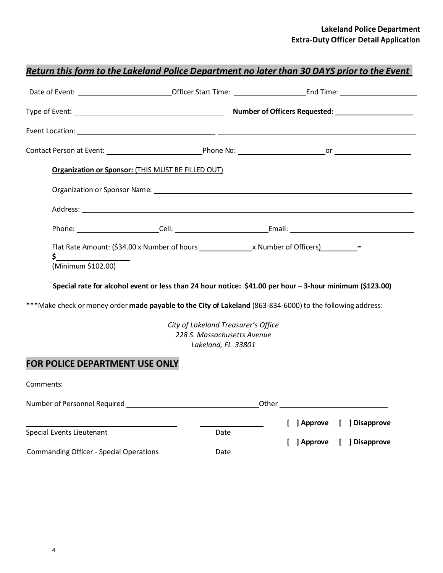|                                                           |                                                                                          | <u>Return this form to the Lakeland Police Department no later than 30 DAYS prior to the Event</u>                                                                                                                     |
|-----------------------------------------------------------|------------------------------------------------------------------------------------------|------------------------------------------------------------------------------------------------------------------------------------------------------------------------------------------------------------------------|
|                                                           |                                                                                          |                                                                                                                                                                                                                        |
|                                                           |                                                                                          |                                                                                                                                                                                                                        |
|                                                           |                                                                                          |                                                                                                                                                                                                                        |
|                                                           |                                                                                          |                                                                                                                                                                                                                        |
| Organization or Sponsor: (THIS MUST BE FILLED OUT)        |                                                                                          |                                                                                                                                                                                                                        |
|                                                           |                                                                                          |                                                                                                                                                                                                                        |
|                                                           |                                                                                          |                                                                                                                                                                                                                        |
|                                                           |                                                                                          |                                                                                                                                                                                                                        |
| <u>\$__________________</u><br>(Minimum \$102.00)         |                                                                                          | Special rate for alcohol event or less than 24 hour notice: \$41.00 per hour - 3-hour minimum (\$123.00)<br>***Make check or money order made payable to the City of Lakeland (863-834-6000) to the following address: |
|                                                           | City of Lakeland Treasurer's Office<br>228 S. Massachusetts Avenue<br>Lakeland, FL 33801 |                                                                                                                                                                                                                        |
| <b>FOR POLICE DEPARTMENT USE ONLY</b>                     |                                                                                          |                                                                                                                                                                                                                        |
|                                                           |                                                                                          |                                                                                                                                                                                                                        |
| Number of Personnel Required Number of Personnel Required |                                                                                          | Other                                                                                                                                                                                                                  |
|                                                           |                                                                                          | ] Approve<br>] Disapprove                                                                                                                                                                                              |
| Special Events Lieutenant                                 | Date                                                                                     | ] Disapprove<br>] Approve                                                                                                                                                                                              |
| <b>Commanding Officer - Special Operations</b>            | Date                                                                                     |                                                                                                                                                                                                                        |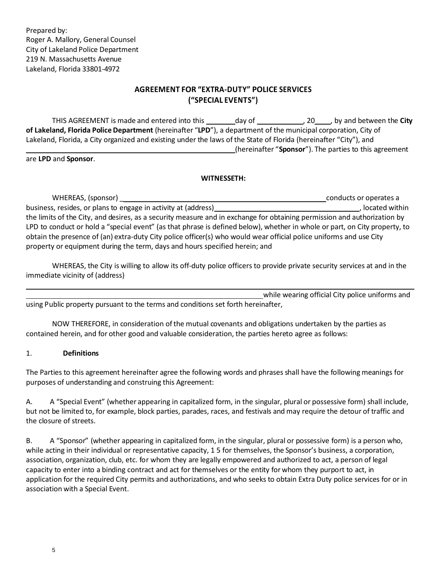# **AGREEMENT FOR "EXTRA-DUTY" POLICE SERVICES ("SPECIAL EVENTS")**

THIS AGREEMENT is made and entered into this day of the case of the City of the City **of Lakeland, Florida Police Department** (hereinafter "**LPD**"), a department of the municipal corporation, City of Lakeland, Florida, a City organized and existing under the laws of the State of Florida (hereinafter "City"), and (hereinafter "**Sponsor**"). The parties to this agreement

are **LPD** and **Sponsor**.

#### **WITNESSETH:**

WHEREAS, (sponsor) \_ conducts or operates a business, resides, or plans to engage in activity at (address) *numerally and activity* located within the limits of the City, and desires, as a security measure and in exchange for obtaining permission and authorization by LPD to conduct or hold a "special event" (as that phrase is defined below), whether in whole or part, on City property, to obtain the presence of (an) extra-duty City police officer(s) who would wear official police uniforms and use City property or equipment during the term, days and hours specified herein; and

WHEREAS, the City is willing to allow its off-duty police officers to provide private security services at and in the immediate vicinity of (address)

while wearing official City police uniforms and using Public property pursuant to the terms and conditions set forth hereinafter,

NOW THEREFORE, in consideration ofthe mutual covenants and obligations undertaken by the parties as contained herein, and for other good and valuable consideration, the parties hereto agree as follows:

#### 1. **Definitions**

The Parties to this agreement hereinafter agree the following words and phrases shall have the following meanings for purposes of understanding and construing this Agreement:

A. A "Special Event" (whether appearing in capitalized form, in the singular, plural or possessive form) shall include, but not be limited to, for example, block parties, parades, races, and festivals and may require the detour of traffic and the closure of streets.

B. A "Sponsor" (whether appearing in capitalized form, in the singular, plural or possessive form) is a person who, while acting in their individual or representative capacity, 1 5 for themselves, the Sponsor's business, a corporation, association, organization, club, etc. for whom they are legally empowered and authorized to act, a person of legal capacity to enter into a binding contract and act for themselves or the entity for whom they purport to act, in application for the required City permits and authorizations, and who seeks to obtain Extra Duty police services for or in association with a Special Event.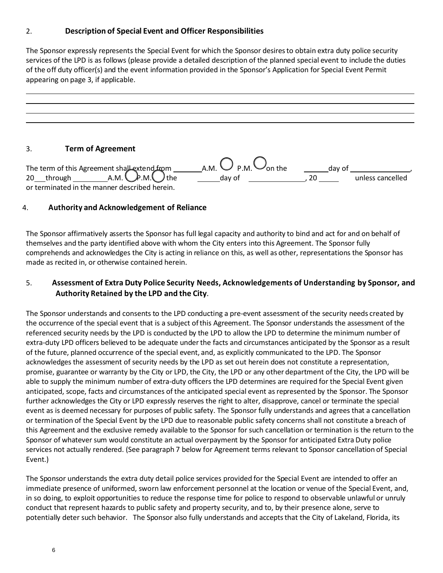### 2. **Description of Special Event and Officer Responsibilities**

The Sponsor expressly represents the Special Event for which the Sponsor desiresto obtain extra duty police security services of the LPD is as follows (please provide a detailed description of the planned special event to include the duties of the off duty officer(s) and the event information provided in the Sponsor's Application for Special Event Permit appearing on page 3, if applicable.

### 3. **Term of Agreement**

|                                               | A.M. $\bigcup$ P.M. $\bigcup_{\text{On the}}$ | day of |                  |
|-----------------------------------------------|-----------------------------------------------|--------|------------------|
|                                               | dav of                                        |        | unless cancelled |
| or terminated in the manner described herein. |                                               |        |                  |

### 4. **Authority and Acknowledgement of Reliance**

The Sponsor affirmatively asserts the Sponsor has full legal capacity and authority to bind and act for and on behalf of themselves and the party identified above with whom the City enters into this Agreement. The Sponsor fully comprehends and acknowledges the City is acting in reliance on this, as well as other, representations the Sponsor has made as recited in, or otherwise contained herein.

# 5. **Assessment of Extra Duty Police Security Needs, Acknowledgements of Understanding by Sponsor, and Authority Retained by the LPD and the City**.

The Sponsor understands and consents to the LPD conducting a pre-event assessment of the security needs created by the occurrence of the special event that is a subject ofthis Agreement. The Sponsor understands the assessment of the referenced security needs by the LPD is conducted by the LPD to allow the LPD to determine the minimum number of extra-duty LPD officers believed to be adequate underthe facts and circumstances anticipated by the Sponsor as a result of the future, planned occurrence of the special event, and, as explicitly communicated to the LPD. The Sponsor acknowledges the assessment of security needs by the LPD as set out herein does not constitute a representation, promise, guarantee or warranty by the City or LPD, the City, the LPD or any other department of the City, the LPD will be able to supply the minimum number of extra-duty officers the LPD determines are required for the Special Event given anticipated, scope, facts and circumstances of the anticipated special event asrepresented by the Sponsor. The Sponsor further acknowledges the City or LPD expressly reserves the right to alter, disapprove, cancel or terminate the special event as is deemed necessary for purposes of public safety. The Sponsor fully understands and agrees that a cancellation or termination of the Special Event by the LPD due to reasonable public safety concerns shall not constitute a breach of this Agreement and the exclusive remedy available to the Sponsor for such cancellation or termination is the return to the Sponsor of whatever sum would constitute an actual overpayment by the Sponsor for anticipated Extra Duty police services not actually rendered. (See paragraph 7 below for Agreement terms relevant to Sponsor cancellation of Special Event.)

The Sponsor understands the extra duty detail police services provided for the Special Event are intended to offer an immediate presence of uniformed, sworn law enforcement personnel at the location or venue of the Special Event, and, in so doing, to exploit opportunities to reduce the response time for police to respond to observable unlawful or unruly conduct that represent hazards to public safety and property security, and to, by their presence alone, serve to potentially deter such behavior. The Sponsor also fully understands and accepts that the City of Lakeland, Florida, its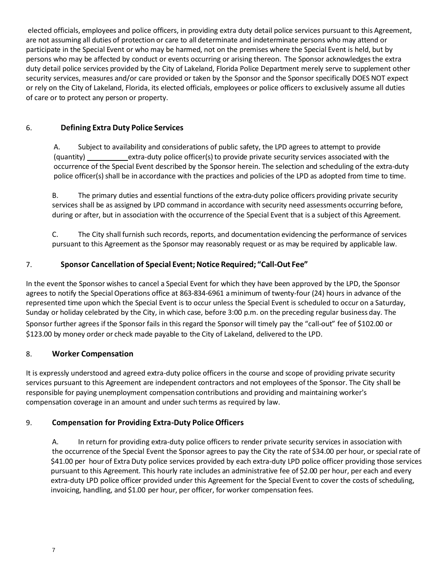elected officials, employees and police officers, in providing extra duty detail police services pursuant to this Agreement, are not assuming all duties of protection or care to all determinate and indeterminate persons who may attend or participate in the Special Event or who may be harmed, not on the premises where the Special Event is held, but by persons who may be affected by conduct or events occurring or arising thereon. The Sponsor acknowledgesthe extra duty detail police services provided by the City of Lakeland, Florida Police Department merely serve to supplement other security services, measures and/or care provided or taken by the Sponsor and the Sponsor specifically DOES NOT expect or rely on the City of Lakeland, Florida, its elected officials, employees or police officers to exclusively assume all duties of care or to protect any person or property.

### 6. **Defining Extra Duty Police Services**

A. Subject to availability and considerations of public safety, the LPD agrees to attempt to provide (quantity) extra-duty police officer(s) to provide private security services associated with the occurrence of the Special Event described by the Sponsor herein. The selection and scheduling of the extra-duty police officer(s) shall be in accordance with the practices and policies of the LPD as adopted from time to time.

B. The primary duties and essential functions of the extra-duty police officers providing private security services shall be as assigned by LPD command in accordance with security need assessments occurring before, during or after, but in association with the occurrence of the Special Event that is a subject of this Agreement.

C. The City shall furnish such records, reports, and documentation evidencing the performance of services pursuant to this Agreement as the Sponsor may reasonably request or as may be required by applicable law.

### 7. **Sponsor Cancellation of Special Event;Notice Required; "Call-Out Fee"**

In the event the Sponsor wishes to cancel a Special Event for which they have been approved by the LPD, the Sponsor agrees to notify the Special Operations office at 863-834-6961 a minimum of twenty-four (24) hours in advance of the represented time upon which the Special Event is to occur unless the Special Event is scheduled to occur on a Saturday, Sunday or holiday celebrated by the City, in which case, before 3:00 p.m. on the preceding regular business day. The

Sponsor further agrees if the Sponsor fails in this regard the Sponsor will timely pay the "call-out" fee of \$102.00 or \$123.00 by money order or check made payable to the City of Lakeland, delivered to the LPD.

### 8. **Worker Compensation**

It is expressly understood and agreed extra-duty police officers in the course and scope of providing private security services pursuant to this Agreement are independent contractors and not employees of the Sponsor. The City shall be responsible for paying unemployment compensation contributions and providing and maintaining worker's compensation coverage in an amount and under suchterms as required by law.

# 9. **Compensation for Providing Extra-Duty PoliceOfficers**

A. In return for providing extra-duty police officers to render private security services in association with the occurrence of the Special Event the Sponsor agrees to pay the City the rate of \$34.00 per hour, or special rate of \$41.00 per hour of Extra Duty police services provided by each extra-duty LPD police officer providing those services pursuant to this Agreement. This hourly rate includes an administrative fee of \$2.00 per hour, per each and every extra-duty LPD police officer provided under this Agreement for the Special Event to cover the costs of scheduling, invoicing, handling, and \$1.00 per hour, per officer, for worker compensation fees.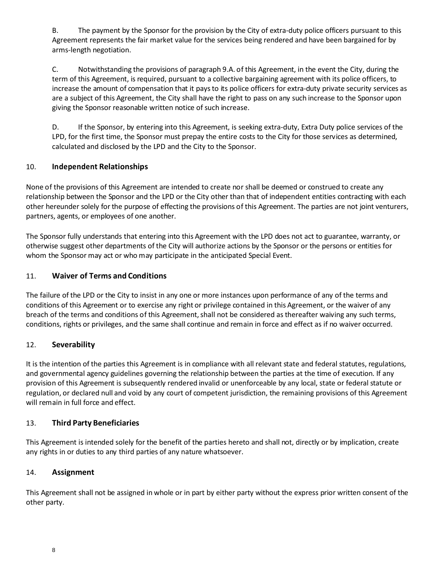B. The payment by the Sponsor for the provision by the City of extra-duty police officers pursuant to this Agreement represents the fair market value for the services being rendered and have been bargained for by arms-length negotiation.

C. Notwithstanding the provisions of paragraph 9.A. of this Agreement, in the event the City, during the term of this Agreement, is required, pursuant to a collective bargaining agreement with its police officers, to increase the amount of compensation that it paysto its police officers for extra-duty private security services as are a subject of this Agreement, the City shall have the right to pass on any such increase to the Sponsor upon giving the Sponsor reasonable written notice of such increase.

D. If the Sponsor, by entering into this Agreement, is seeking extra-duty, Extra Duty police services of the LPD, for the first time, the Sponsor must prepay the entire costs to the City for those services as determined, calculated and disclosed by the LPD and the City to the Sponsor.

### 10. **Independent Relationships**

None of the provisions of this Agreement are intended to create nor shall be deemed or construed to create any relationship between the Sponsor and the LPD or the City other than that of independent entities contracting with each other hereunder solely forthe purpose of effecting the provisions of this Agreement. The parties are not joint venturers, partners, agents, or employees of one another.

The Sponsor fully understands that entering into this Agreement with the LPD does not act to guarantee, warranty, or otherwise suggest other departments of the City will authorize actions by the Sponsor or the persons or entities for whom the Sponsor may act or who may participate in the anticipated Special Event.

### 11. **Waiver of Terms and Conditions**

The failure of the LPD or the City to insist in any one or more instances upon performance of any of the terms and conditions of this Agreement or to exercise any right or privilege contained in this Agreement, or the waiver of any breach of the terms and conditions of this Agreement, shall not be considered as thereafter waiving any such terms, conditions, rights or privileges, and the same shall continue and remain in force and effect as if no waiver occurred.

### 12. **Severability**

It is the intention of the parties this Agreement is in compliance with all relevant state and federal statutes, regulations, and governmental agency guidelines governing the relationship between the parties at the time of execution. If any provision of this Agreement is subsequently rendered invalid or unenforceable by any local, state or federal statute or regulation, or declared null and void by any court of competent jurisdiction, the remaining provisions of this Agreement will remain in full force and effect.

### 13. **Third Party Beneficiaries**

This Agreement is intended solely for the benefit of the parties hereto and shall not, directly or by implication, create any rights in or duties to any third parties of any nature whatsoever.

### 14. **Assignment**

This Agreement shall not be assigned in whole or in part by either party without the express prior written consent of the other party.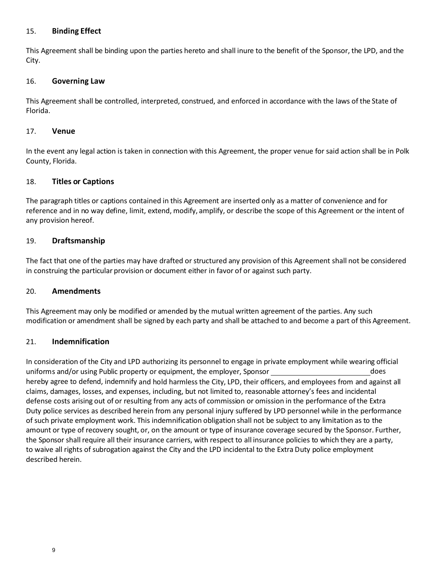#### 15. **Binding Effect**

This Agreement shall be binding upon the parties hereto and shall inure to the benefit of the Sponsor, the LPD, and the City.

#### 16. **Governing Law**

This Agreement shall be controlled, interpreted, construed, and enforced in accordance with the laws of the State of Florida.

#### 17. **Venue**

In the event any legal action is taken in connection with this Agreement, the proper venue for said action shall be in Polk County, Florida.

#### 18. **Titles or Captions**

The paragraph titles or captions contained in this Agreement are inserted only as a matter of convenience and for reference and in no way define, limit, extend, modify, amplify, or describe the scope of this Agreement or the intent of any provision hereof.

#### 19. **Draftsmanship**

The fact that one of the parties may have drafted or structured any provision of this Agreement shall not be considered in construing the particular provision or document either in favor of or against such party.

#### 20. **Amendments**

This Agreement may only be modified or amended by the mutual written agreement of the parties. Any such modification or amendment shall be signed by each party and shall be attached to and become a part of this Agreement.

#### 21. **Indemnification**

In consideration of the City and LPD authorizing its personnel to engage in private employment while wearing official uniforms and/or using Public property or equipment, the employer, Sponsor does hereby agree to defend, indemnify and hold harmless the City, LPD, their officers, and employees from and against all claims, damages, losses, and expenses, including, but not limited to, reasonable attorney's fees and incidental defense costs arising out of or resulting from any acts of commission or omission in the performance of the Extra Duty police services as described herein from any personal injury suffered by LPD personnel while in the performance of such private employment work. This indemnification obligation shall not be subject to any limitation as to the amount or type of recovery sought, or, on the amount or type of insurance coverage secured by the Sponsor. Further, the Sponsor shall require all their insurance carriers, with respect to all insurance policies to which they are a party, to waive all rights of subrogation against the City and the LPD incidental to the Extra Duty police employment described herein.